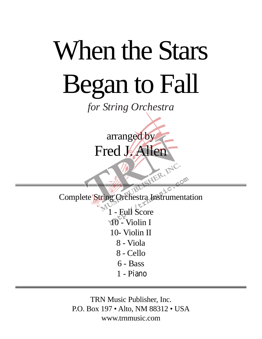# When the Stars Began to Fall

*for String Orchestra*



Complete String Orchestra Instrumentation 1 - Full Score 10 - Violin I 10- Violin II 8 - Viola 8 - Cello 6 - Bass 1 - Piano

TRN Music Publisher, Inc. P.O. Box 197 • Alto, NM 88312 • USA www.trnmusic.com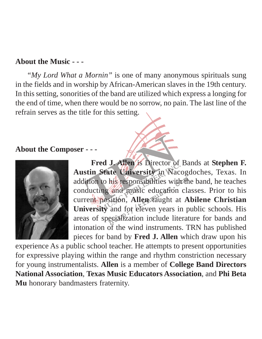### **About the Music - - -**

 *"My Lord What a Mornin"* is one of many anonymous spirituals sung in the fields and in worship by African-American slaves in the 19th century. In this setting, sonorities of the band are utilized which express a longing for the end of time, when there would be no sorrow, no pain. The last line of the refrain serves as the title for this setting.

#### **About the Composer - - -**



 **Fred J. Allen** is Director of Bands at **Stephen F. Austin State University** in Nacogdoches, Texas. In addition to his responsibilities with the band, he teaches conducting and music education classes. Prior to his current position, **Allen** taught at **Abilene Christian** University and for eleven years in public schools. His areas of specialization include literature for bands and intonation of the wind instruments. TRN has published pieces for band by **Fred J. Allen** which draw upon his

experience As a public school teacher. He attempts to present opportunities for expressive playing within the range and rhythm constriction necessary for young instrumentalists. **Allen** is a member of **College Band Directors National Association**, **Texas Music Educators Association**, and **Phi Beta Mu** honorary bandmasters fraternity.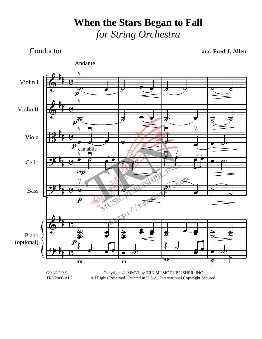# **When the Stars Began to Fall** *for String Orchestra*

## Conductor

**arr. Fred J. Allen**





Copyright © MMVI by TRN MUSIC PUBLISHER, INC. All Rights Reserved. Printed in U.S.A. International Copyright Secured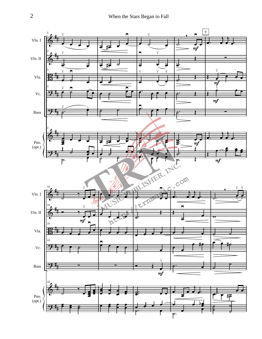

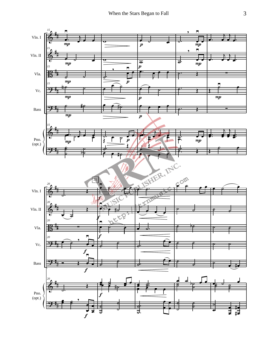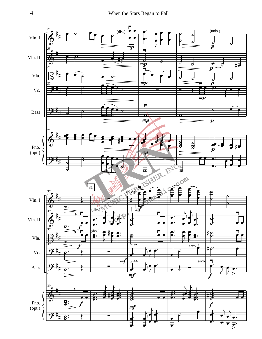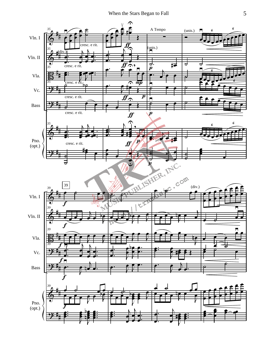